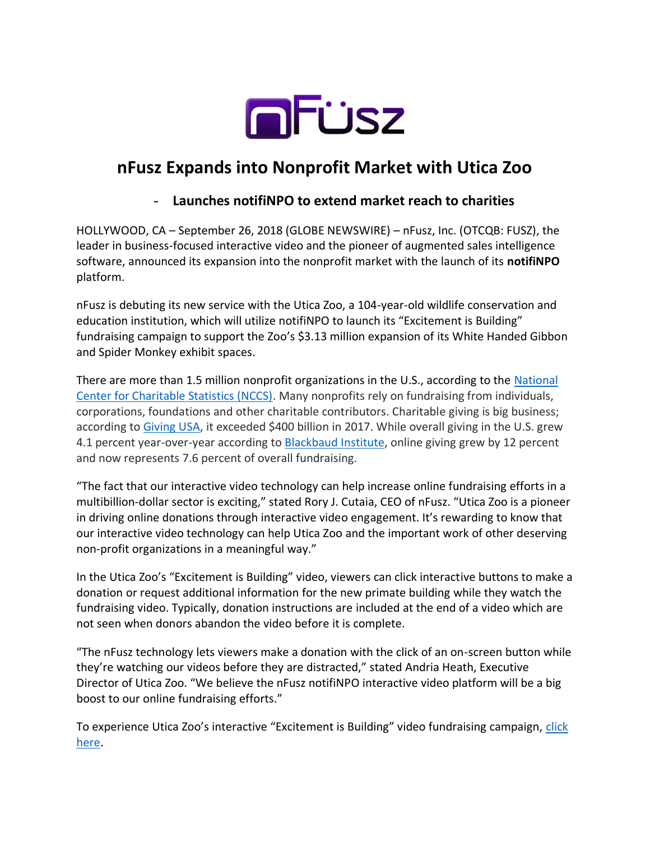

# **nFusz Expands into Nonprofit Market with Utica Zoo**

## - **Launches notifiNPO to extend market reach to charities**

HOLLYWOOD, CA – September 26, 2018 (GLOBE NEWSWIRE) – nFusz, Inc. (OTCQB: FUSZ), the leader in business-focused interactive video and the pioneer of augmented sales intelligence software, announced its expansion into the nonprofit market with the launch of its **notifiNPO** platform.

nFusz is debuting its new service with the Utica Zoo, a 104-year-old wildlife conservation and education institution, which will utilize notifiNPO to launch its "Excitement is Building" fundraising campaign to support the Zoo's \$3.13 million expansion of its White Handed Gibbon and Spider Monkey exhibit spaces.

There are more than 1.5 million nonprofit organizations in the U.S., according to the [National](https://nccs.urban.org/data-statistics/quick-facts-about-nonprofits)  [Center for Charitable Statistics \(NCCS\).](https://nccs.urban.org/data-statistics/quick-facts-about-nonprofits) Many nonprofits rely on fundraising from individuals, corporations, foundations and other charitable contributors. Charitable giving is big business; according to [Giving USA,](https://givingusa.org/giving-usa-2018-americans-gave-410-02-billion-to-charity-in-2017-crossing-the-400-billion-mark-for-the-first-time/) it exceeded \$400 billion in 2017. While overall giving in the U.S. grew 4.1 percent year-over-year according to [Blackbaud Institute,](https://institute.blackbaud.com/asset/2017-charitable-giving-report/) online giving grew by 12 percent and now represents 7.6 percent of overall fundraising.

"The fact that our interactive video technology can help increase online fundraising efforts in a multibillion-dollar sector is exciting," stated Rory J. Cutaia, CEO of nFusz. "Utica Zoo is a pioneer in driving online donations through interactive video engagement. It's rewarding to know that our interactive video technology can help Utica Zoo and the important work of other deserving non-profit organizations in a meaningful way."

In the Utica Zoo's "Excitement is Building" video, viewers can click interactive buttons to make a donation or request additional information for the new primate building while they watch the fundraising video. Typically, donation instructions are included at the end of a video which are not seen when donors abandon the video before it is complete.

"The nFusz technology lets viewers make a donation with the click of an on-screen button while they're watching our videos before they are distracted," stated Andria Heath, Executive Director of Utica Zoo. "We believe the nFusz notifiNPO interactive video platform will be a big boost to our online fundraising efforts."

To experience Utica Zoo's interactive "Excitement is Building" video fundraising campaign, click [here.](https://app.nfusz.com/player/0S12FZR9)